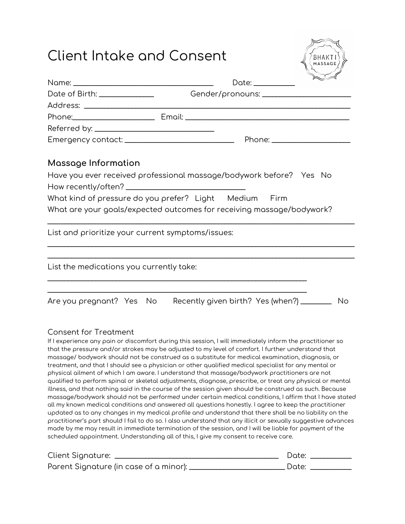## Client Intake and Consent



|                                                   | Date: ___________                                                     |    |
|---------------------------------------------------|-----------------------------------------------------------------------|----|
| Date of Birth: _________________                  |                                                                       |    |
|                                                   |                                                                       |    |
|                                                   |                                                                       |    |
|                                                   |                                                                       |    |
|                                                   |                                                                       |    |
| Massage Information                               |                                                                       |    |
|                                                   |                                                                       |    |
|                                                   |                                                                       |    |
|                                                   | What kind of pressure do you prefer? Light Medium Firm                |    |
|                                                   | What are your goals/expected outcomes for receiving massage/bodywork? |    |
| List and prioritize your current symptoms/issues: |                                                                       |    |
|                                                   |                                                                       |    |
| List the medications you currently take:          |                                                                       |    |
|                                                   |                                                                       |    |
|                                                   | Are you pregnant? Yes No Recently given birth? Yes (when?) ________   | No |

## Consent for Treatment

If I experience any pain or discomfort during this session, I will immediately inform the practitioner so that the pressure and/or strokes may be adjusted to my level of comfort. I further understand that massage/ bodywork should not be construed as a substitute for medical examination, diagnosis, or treatment, and that I should see a physician or other qualified medical specialist for any mental or physical ailment of which I am aware. I understand that massage/bodywork practitioners are not qualified to perform spinal or skeletal adjustments, diagnose, prescribe, or treat any physical or mental illness, and that nothing said in the course of the session given should be construed as such. Because massage/bodywork should not be performed under certain medical conditions, I affirm that I have stated all my known medical conditions and answered all questions honestly. I agree to keep the practitioner updated as to any changes in my medical profile and understand that there shall be no liability on the practitioner's part should I fail to do so. I also understand that any illicit or sexually suggestive advances made by me may result in immediate termination of the session, and I will be liable for payment of the scheduled appointment. Understanding all of this, I give my consent to receive care.

| Client Signature:                      | Date: |
|----------------------------------------|-------|
| Parent Signature (in case of a minor): | Date: |